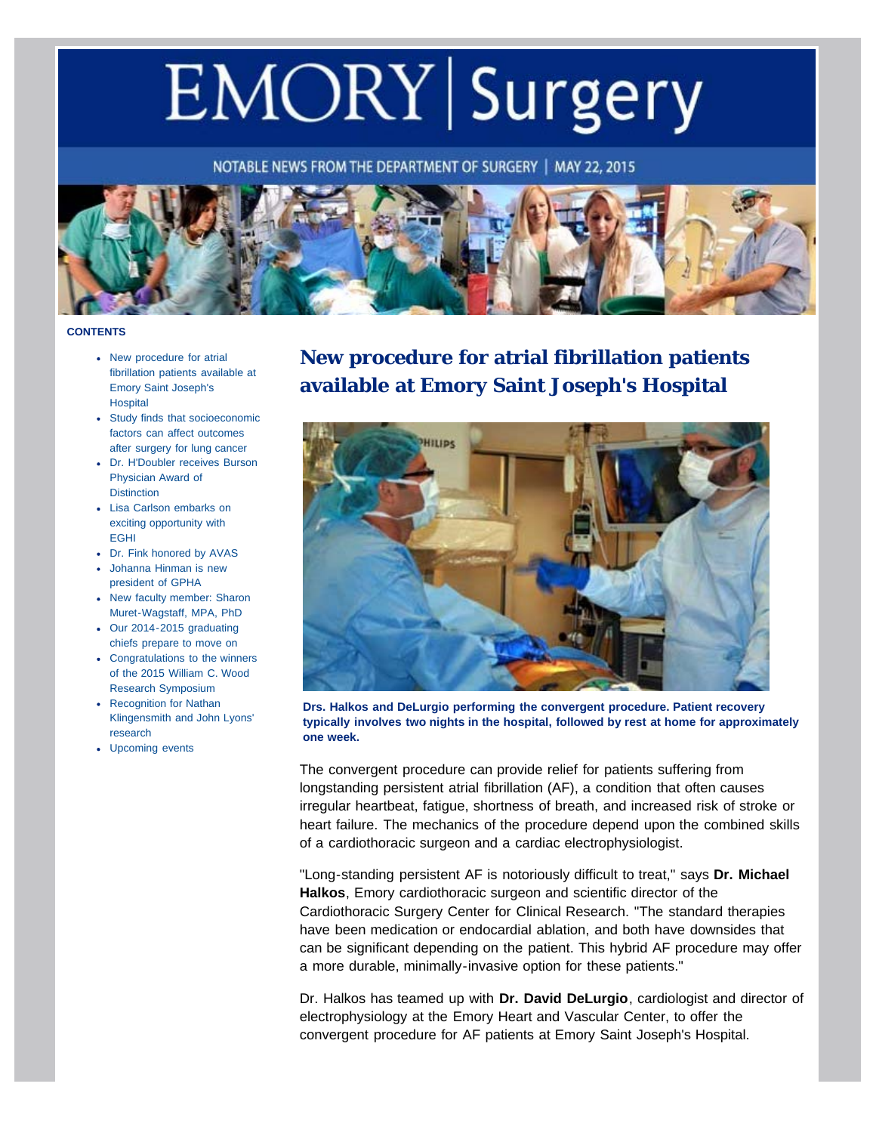# EMORY Surgery

NOTABLE NEWS FROM THE DEPARTMENT OF SURGERY | MAY 22, 2015



#### <span id="page-0-0"></span>**CONTENTS**

- [New procedure for atrial](#page-0-0) [fibrillation patients available at](#page-0-0) [Emory Saint Joseph's](#page-0-0) **[Hospital](#page-0-0)**
- [Study finds that socioeconomic](#page-1-0) [factors can affect outcomes](#page-1-0) [after surgery for lung cancer](#page-1-0)
- [Dr. H'Doubler receives Burson](#page-2-0) [Physician Award of](#page-2-0) **[Distinction](#page-2-0)**
- [Lisa Carlson embarks on](#page-3-0) [exciting opportunity with](#page-3-0) [EGHI](#page-3-0)
- [Dr. Fink honored by AVAS](#page-5-0)
- [Johanna Hinman is new](#page-6-0) [president of GPHA](#page-6-0)
- [New faculty member: Sharon](#page-6-1) [Muret-Wagstaff, MPA, PhD](#page-6-1)
- [Our 2014-2015 graduating](#page-7-0) [chiefs prepare to move on](#page-7-0)
- [Congratulations to the winners](#page-8-0) [of the 2015 William C. Wood](#page-8-0) [Research Symposium](#page-8-0)
- [Recognition for Nathan](#page-9-0) [Klingensmith and John Lyons'](#page-9-0) [research](#page-9-0)
- [Upcoming events](#page-9-1)

## **New procedure for atrial fibrillation patients available at Emory Saint Joseph's Hospital**



**Drs. Halkos and DeLurgio performing the convergent procedure. Patient recovery typically involves two nights in the hospital, followed by rest at home for approximately one week.**

The convergent procedure can provide relief for patients suffering from longstanding persistent atrial fibrillation (AF), a condition that often causes irregular heartbeat, fatigue, shortness of breath, and increased risk of stroke or heart failure. The mechanics of the procedure depend upon the combined skills of a cardiothoracic surgeon and a cardiac electrophysiologist.

"Long-standing persistent AF is notoriously difficult to treat," says **Dr. Michael Halkos**, Emory cardiothoracic surgeon and scientific director of the Cardiothoracic Surgery Center for Clinical Research. "The standard therapies have been medication or endocardial ablation, and both have downsides that can be significant depending on the patient. This hybrid AF procedure may offer a more durable, minimally-invasive option for these patients."

Dr. Halkos has teamed up with **Dr. David DeLurgio**, cardiologist and director of electrophysiology at the Emory Heart and Vascular Center, to offer the convergent procedure for AF patients at Emory Saint Joseph's Hospital.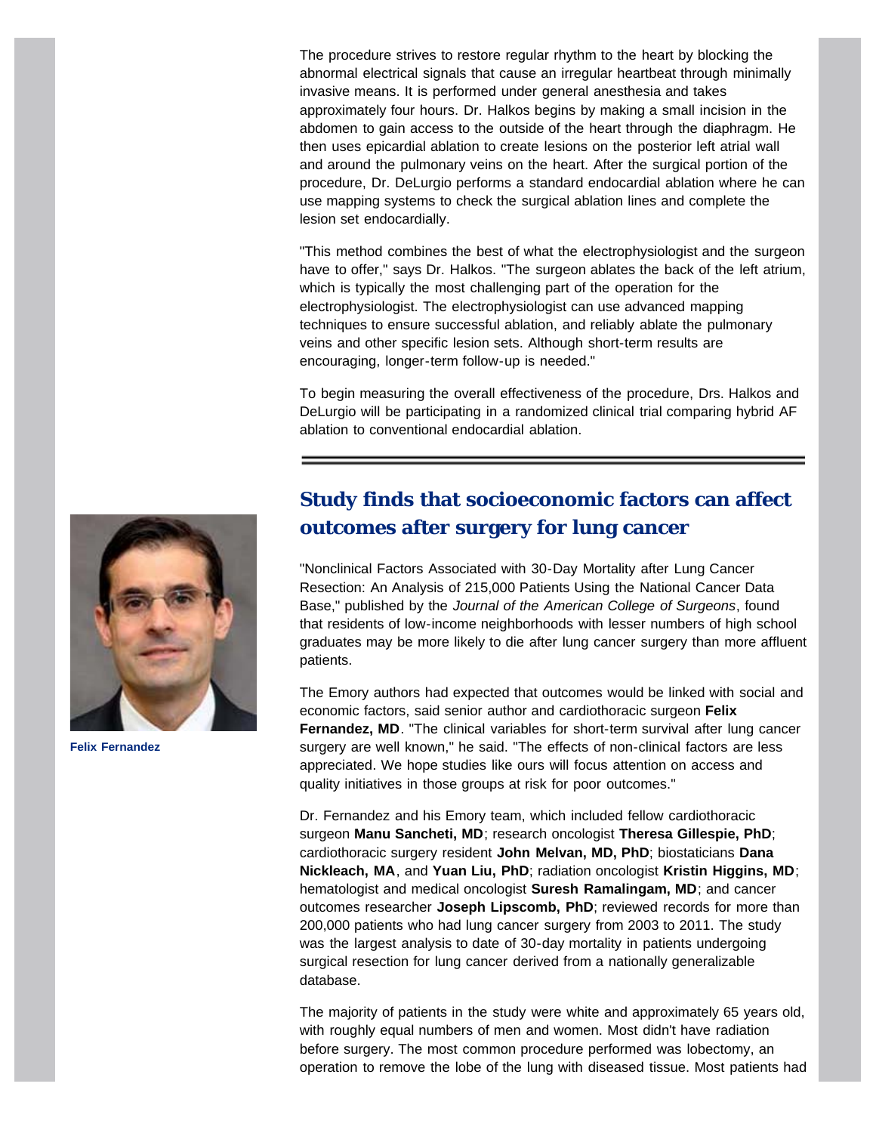The procedure strives to restore regular rhythm to the heart by blocking the abnormal electrical signals that cause an irregular heartbeat through minimally invasive means. It is performed under general anesthesia and takes approximately four hours. Dr. Halkos begins by making a small incision in the abdomen to gain access to the outside of the heart through the diaphragm. He then uses epicardial ablation to create lesions on the posterior left atrial wall and around the pulmonary veins on the heart. After the surgical portion of the procedure, Dr. DeLurgio performs a standard endocardial ablation where he can use mapping systems to check the surgical ablation lines and complete the lesion set endocardially.

"This method combines the best of what the electrophysiologist and the surgeon have to offer," says Dr. Halkos. "The surgeon ablates the back of the left atrium, which is typically the most challenging part of the operation for the electrophysiologist. The electrophysiologist can use advanced mapping techniques to ensure successful ablation, and reliably ablate the pulmonary veins and other specific lesion sets. Although short-term results are encouraging, longer-term follow-up is needed."

To begin measuring the overall effectiveness of the procedure, Drs. Halkos and DeLurgio will be participating in a randomized clinical trial comparing hybrid AF ablation to conventional endocardial ablation.

<span id="page-1-0"></span>

**Felix Fernandez**

## **Study finds that socioeconomic factors can affect outcomes after surgery for lung cancer**

"Nonclinical Factors Associated with 30-Day Mortality after Lung Cancer Resection: An Analysis of 215,000 Patients Using the National Cancer Data Base," published by the *Journal of the American College of Surgeons*, found that residents of low-income neighborhoods with lesser numbers of high school graduates may be more likely to die after lung cancer surgery than more affluent patients.

The Emory authors had expected that outcomes would be linked with social and economic factors, said senior author and cardiothoracic surgeon **Felix Fernandez, MD**. "The clinical variables for short-term survival after lung cancer surgery are well known," he said. "The effects of non-clinical factors are less appreciated. We hope studies like ours will focus attention on access and quality initiatives in those groups at risk for poor outcomes."

Dr. Fernandez and his Emory team, which included fellow cardiothoracic surgeon **Manu Sancheti, MD**; research oncologist **Theresa Gillespie, PhD**; cardiothoracic surgery resident **John Melvan, MD, PhD**; biostaticians **Dana Nickleach, MA**, and **Yuan Liu, PhD**; radiation oncologist **Kristin Higgins, MD**; hematologist and medical oncologist **Suresh Ramalingam, MD**; and cancer outcomes researcher **Joseph Lipscomb, PhD**; reviewed records for more than 200,000 patients who had lung cancer surgery from 2003 to 2011. The study was the largest analysis to date of 30-day mortality in patients undergoing surgical resection for lung cancer derived from a nationally generalizable database.

The majority of patients in the study were white and approximately 65 years old, with roughly equal numbers of men and women. Most didn't have radiation before surgery. The most common procedure performed was lobectomy, an operation to remove the lobe of the lung with diseased tissue. Most patients had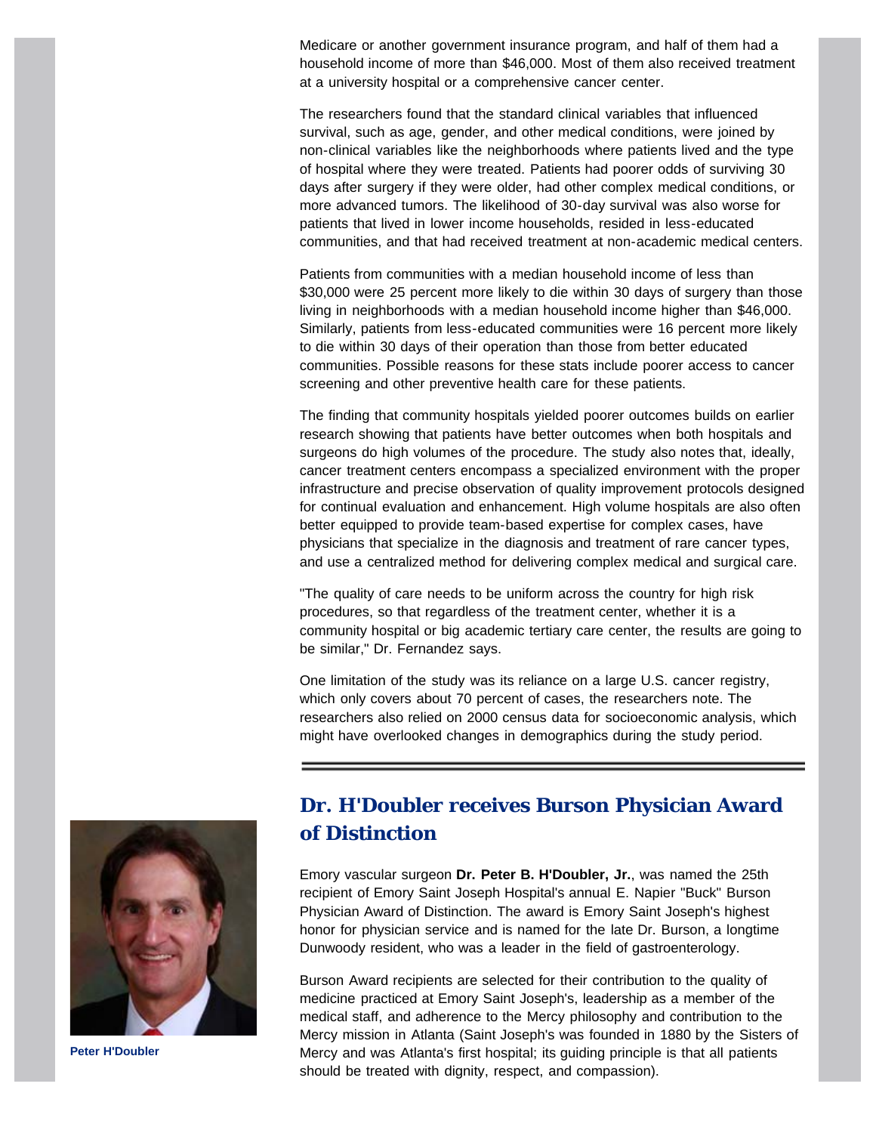Medicare or another government insurance program, and half of them had a household income of more than \$46,000. Most of them also received treatment at a university hospital or a comprehensive cancer center.

The researchers found that the standard clinical variables that influenced survival, such as age, gender, and other medical conditions, were joined by non-clinical variables like the neighborhoods where patients lived and the type of hospital where they were treated. Patients had poorer odds of surviving 30 days after surgery if they were older, had other complex medical conditions, or more advanced tumors. The likelihood of 30-day survival was also worse for patients that lived in lower income households, resided in less-educated communities, and that had received treatment at non-academic medical centers.

Patients from communities with a median household income of less than \$30,000 were 25 percent more likely to die within 30 days of surgery than those living in neighborhoods with a median household income higher than \$46,000. Similarly, patients from less-educated communities were 16 percent more likely to die within 30 days of their operation than those from better educated communities. Possible reasons for these stats include poorer access to cancer screening and other preventive health care for these patients.

The finding that community hospitals yielded poorer outcomes builds on earlier research showing that patients have better outcomes when both hospitals and surgeons do high volumes of the procedure. The study also notes that, ideally, cancer treatment centers encompass a specialized environment with the proper infrastructure and precise observation of quality improvement protocols designed for continual evaluation and enhancement. High volume hospitals are also often better equipped to provide team-based expertise for complex cases, have physicians that specialize in the diagnosis and treatment of rare cancer types, and use a centralized method for delivering complex medical and surgical care.

"The quality of care needs to be uniform across the country for high risk procedures, so that regardless of the treatment center, whether it is a community hospital or big academic tertiary care center, the results are going to be similar," Dr. Fernandez says.

One limitation of the study was its reliance on a large U.S. cancer registry, which only covers about 70 percent of cases, the researchers note. The researchers also relied on 2000 census data for socioeconomic analysis, which might have overlooked changes in demographics during the study period.

<span id="page-2-0"></span>

**Peter H'Doubler**

#### **Dr. H'Doubler receives Burson Physician Award of Distinction**

Emory vascular surgeon **Dr. Peter B. H'Doubler, Jr.**, was named the 25th recipient of Emory Saint Joseph Hospital's annual E. Napier "Buck" Burson Physician Award of Distinction. The award is Emory Saint Joseph's highest honor for physician service and is named for the late Dr. Burson, a longtime Dunwoody resident, who was a leader in the field of gastroenterology.

Burson Award recipients are selected for their contribution to the quality of medicine practiced at Emory Saint Joseph's, leadership as a member of the medical staff, and adherence to the Mercy philosophy and contribution to the Mercy mission in Atlanta (Saint Joseph's was founded in 1880 by the Sisters of Mercy and was Atlanta's first hospital; its guiding principle is that all patients should be treated with dignity, respect, and compassion).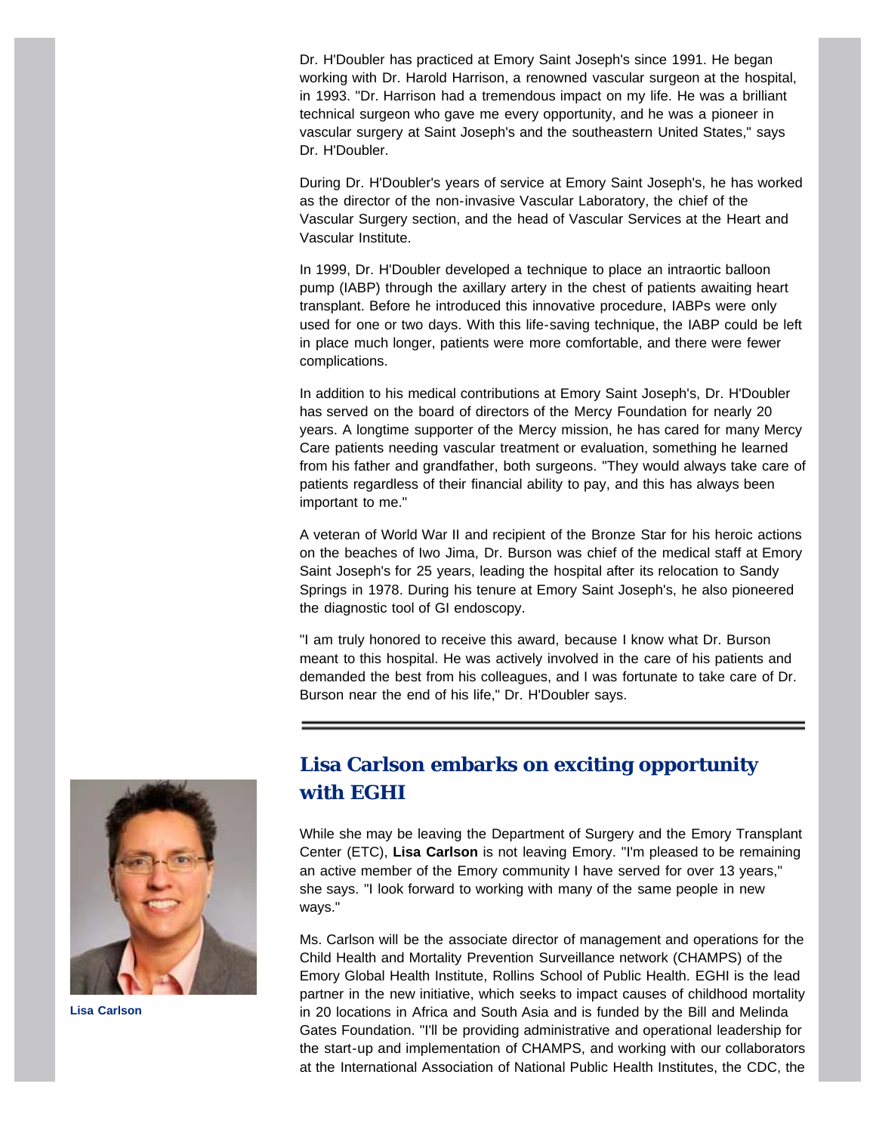Dr. H'Doubler has practiced at Emory Saint Joseph's since 1991. He began working with Dr. Harold Harrison, a renowned vascular surgeon at the hospital, in 1993. "Dr. Harrison had a tremendous impact on my life. He was a brilliant technical surgeon who gave me every opportunity, and he was a pioneer in vascular surgery at Saint Joseph's and the southeastern United States," says Dr. H'Doubler.

During Dr. H'Doubler's years of service at Emory Saint Joseph's, he has worked as the director of the non-invasive Vascular Laboratory, the chief of the Vascular Surgery section, and the head of Vascular Services at the Heart and Vascular Institute.

In 1999, Dr. H'Doubler developed a technique to place an intraortic balloon pump (IABP) through the axillary artery in the chest of patients awaiting heart transplant. Before he introduced this innovative procedure, IABPs were only used for one or two days. With this life-saving technique, the IABP could be left in place much longer, patients were more comfortable, and there were fewer complications.

In addition to his medical contributions at Emory Saint Joseph's, Dr. H'Doubler has served on the board of directors of the Mercy Foundation for nearly 20 years. A longtime supporter of the Mercy mission, he has cared for many Mercy Care patients needing vascular treatment or evaluation, something he learned from his father and grandfather, both surgeons. "They would always take care of patients regardless of their financial ability to pay, and this has always been important to me."

A veteran of World War II and recipient of the Bronze Star for his heroic actions on the beaches of Iwo Jima, Dr. Burson was chief of the medical staff at Emory Saint Joseph's for 25 years, leading the hospital after its relocation to Sandy Springs in 1978. During his tenure at Emory Saint Joseph's, he also pioneered the diagnostic tool of GI endoscopy.

"I am truly honored to receive this award, because I know what Dr. Burson meant to this hospital. He was actively involved in the care of his patients and demanded the best from his colleagues, and I was fortunate to take care of Dr. Burson near the end of his life," Dr. H'Doubler says.

<span id="page-3-0"></span>

**Lisa Carlson**

## **Lisa Carlson embarks on exciting opportunity with EGHI**

While she may be leaving the Department of Surgery and the Emory Transplant Center (ETC), **Lisa Carlson** is not leaving Emory. "I'm pleased to be remaining an active member of the Emory community I have served for over 13 years," she says. "I look forward to working with many of the same people in new ways."

Ms. Carlson will be the associate director of management and operations for the Child Health and Mortality Prevention Surveillance network (CHAMPS) of the Emory Global Health Institute, Rollins School of Public Health. EGHI is the lead partner in the new initiative, which seeks to impact causes of childhood mortality in 20 locations in Africa and South Asia and is funded by the Bill and Melinda Gates Foundation. "I'll be providing administrative and operational leadership for the start-up and implementation of CHAMPS, and working with our collaborators at the International Association of National Public Health Institutes, the CDC, the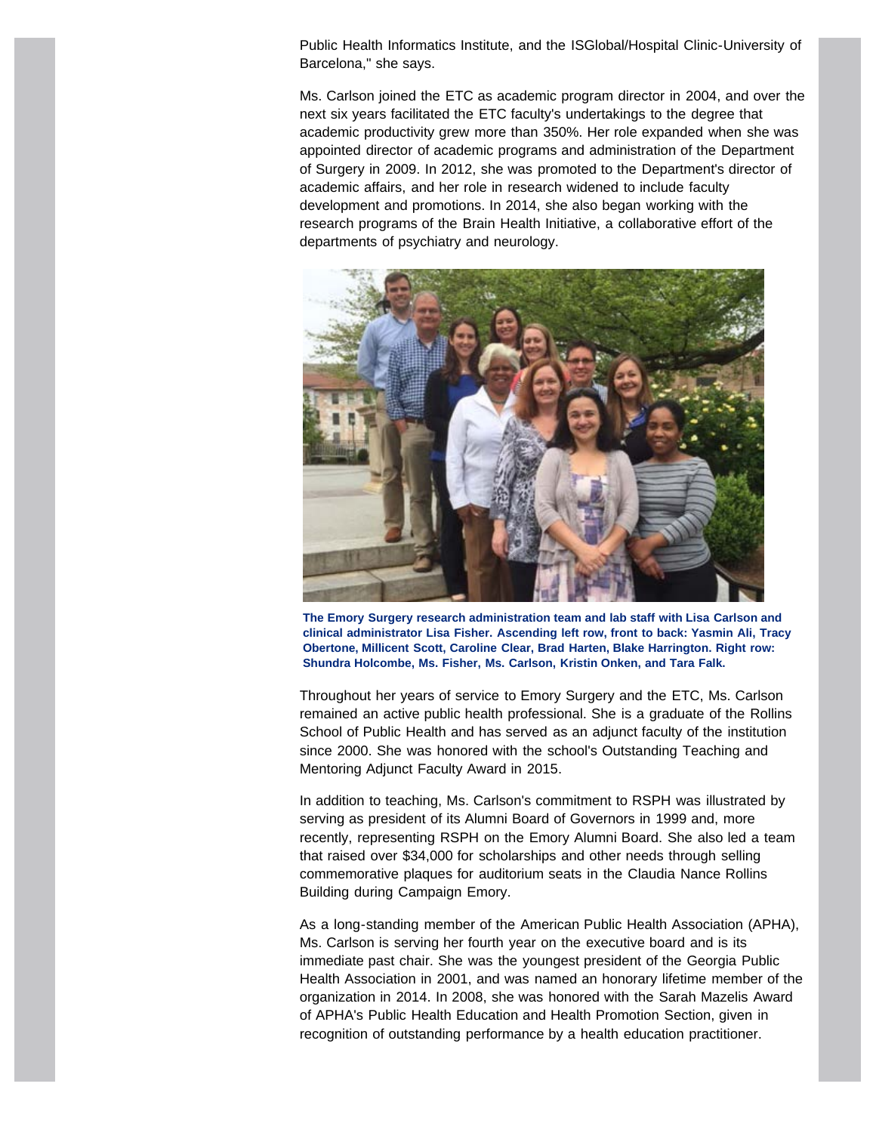Public Health Informatics Institute, and the ISGlobal/Hospital Clinic-University of Barcelona," she says.

Ms. Carlson joined the ETC as academic program director in 2004, and over the next six years facilitated the ETC faculty's undertakings to the degree that academic productivity grew more than 350%. Her role expanded when she was appointed director of academic programs and administration of the Department of Surgery in 2009. In 2012, she was promoted to the Department's director of academic affairs, and her role in research widened to include faculty development and promotions. In 2014, she also began working with the research programs of the Brain Health Initiative, a collaborative effort of the departments of psychiatry and neurology.



**The Emory Surgery research administration team and lab staff with Lisa Carlson and clinical administrator Lisa Fisher. Ascending left row, front to back: Yasmin Ali, Tracy Obertone, Millicent Scott, Caroline Clear, Brad Harten, Blake Harrington. Right row: Shundra Holcombe, Ms. Fisher, Ms. Carlson, Kristin Onken, and Tara Falk.**

Throughout her years of service to Emory Surgery and the ETC, Ms. Carlson remained an active public health professional. She is a graduate of the Rollins School of Public Health and has served as an adjunct faculty of the institution since 2000. She was honored with the school's Outstanding Teaching and Mentoring Adjunct Faculty Award in 2015.

In addition to teaching, Ms. Carlson's commitment to RSPH was illustrated by serving as president of its Alumni Board of Governors in 1999 and, more recently, representing RSPH on the Emory Alumni Board. She also led a team that raised over \$34,000 for scholarships and other needs through selling commemorative plaques for auditorium seats in the Claudia Nance Rollins Building during Campaign Emory.

As a long-standing member of the American Public Health Association (APHA), Ms. Carlson is serving her fourth year on the executive board and is its immediate past chair. She was the youngest president of the Georgia Public Health Association in 2001, and was named an honorary lifetime member of the organization in 2014. In 2008, she was honored with the Sarah Mazelis Award of APHA's Public Health Education and Health Promotion Section, given in recognition of outstanding performance by a health education practitioner.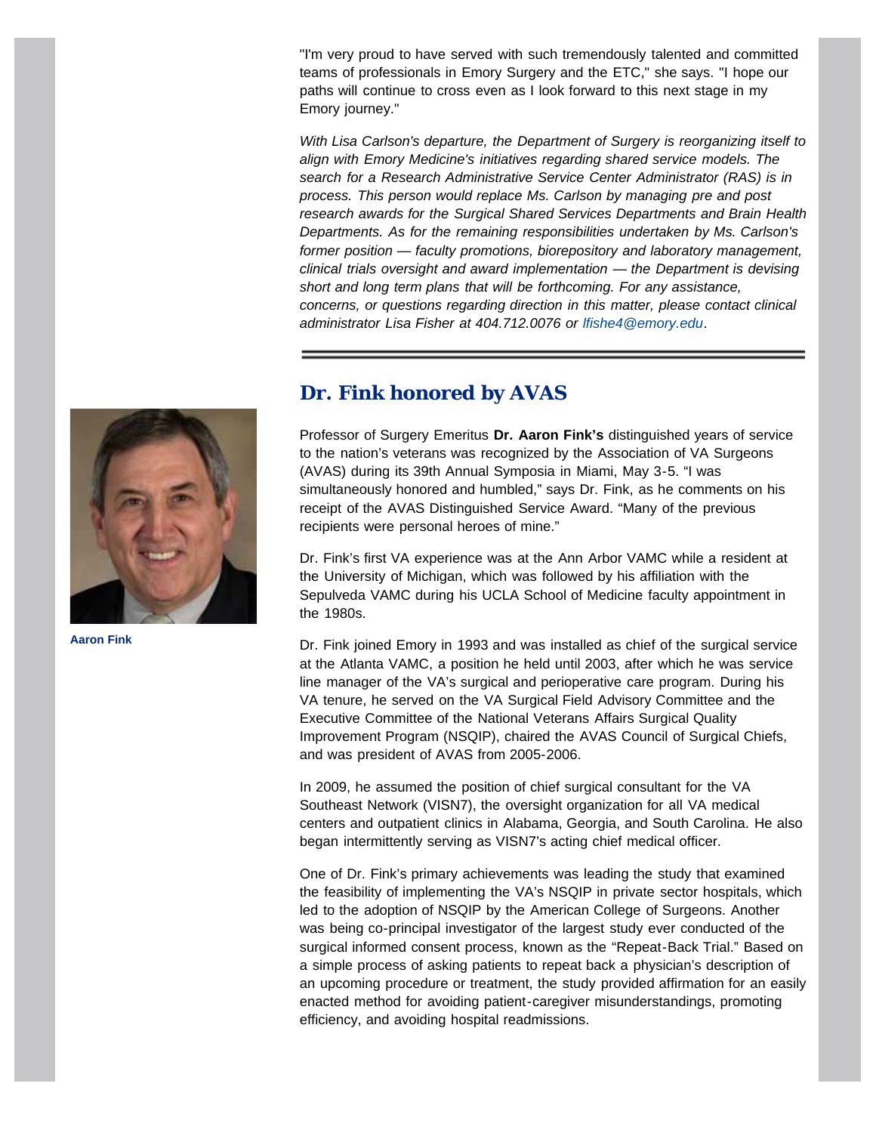"I'm very proud to have served with such tremendously talented and committed teams of professionals in Emory Surgery and the ETC," she says. "I hope our paths will continue to cross even as I look forward to this next stage in my Emory journey."

*With Lisa Carlson's departure, the Department of Surgery is reorganizing itself to align with Emory Medicine's initiatives regarding shared service models. The search for a Research Administrative Service Center Administrator (RAS) is in process. This person would replace Ms. Carlson by managing pre and post research awards for the Surgical Shared Services Departments and Brain Health Departments. As for the remaining responsibilities undertaken by Ms. Carlson's former position — faculty promotions, biorepository and laboratory management, clinical trials oversight and award implementation — the Department is devising short and long term plans that will be forthcoming. For any assistance, concerns, or questions regarding direction in this matter, please contact clinical administrator Lisa Fisher at 404.712.0076 or [lfishe4@emory.edu.](mailto:lfishe4@emory.edu)*

#### **Dr. Fink honored by AVAS**

Professor of Surgery Emeritus **Dr. Aaron Fink's** distinguished years of service to the nation's veterans was recognized by the Association of VA Surgeons (AVAS) during its 39th Annual Symposia in Miami, May 3-5. "I was simultaneously honored and humbled," says Dr. Fink, as he comments on his receipt of the AVAS Distinguished Service Award. "Many of the previous recipients were personal heroes of mine."

Dr. Fink's first VA experience was at the Ann Arbor VAMC while a resident at the University of Michigan, which was followed by his affiliation with the Sepulveda VAMC during his UCLA School of Medicine faculty appointment in the 1980s.

Dr. Fink joined Emory in 1993 and was installed as chief of the surgical service at the Atlanta VAMC, a position he held until 2003, after which he was service line manager of the VA's surgical and perioperative care program. During his VA tenure, he served on the VA Surgical Field Advisory Committee and the Executive Committee of the National Veterans Affairs Surgical Quality Improvement Program (NSQIP), chaired the AVAS Council of Surgical Chiefs, and was president of AVAS from 2005-2006.

In 2009, he assumed the position of chief surgical consultant for the VA Southeast Network (VISN7), the oversight organization for all VA medical centers and outpatient clinics in Alabama, Georgia, and South Carolina. He also began intermittently serving as VISN7's acting chief medical officer.

One of Dr. Fink's primary achievements was leading the study that examined the feasibility of implementing the VA's NSQIP in private sector hospitals, which led to the adoption of NSQIP by the American College of Surgeons. Another was being co-principal investigator of the largest study ever conducted of the surgical informed consent process, known as the "Repeat-Back Trial." Based on a simple process of asking patients to repeat back a physician's description of an upcoming procedure or treatment, the study provided affirmation for an easily enacted method for avoiding patient-caregiver misunderstandings, promoting efficiency, and avoiding hospital readmissions.

<span id="page-5-0"></span>

**Aaron Fink**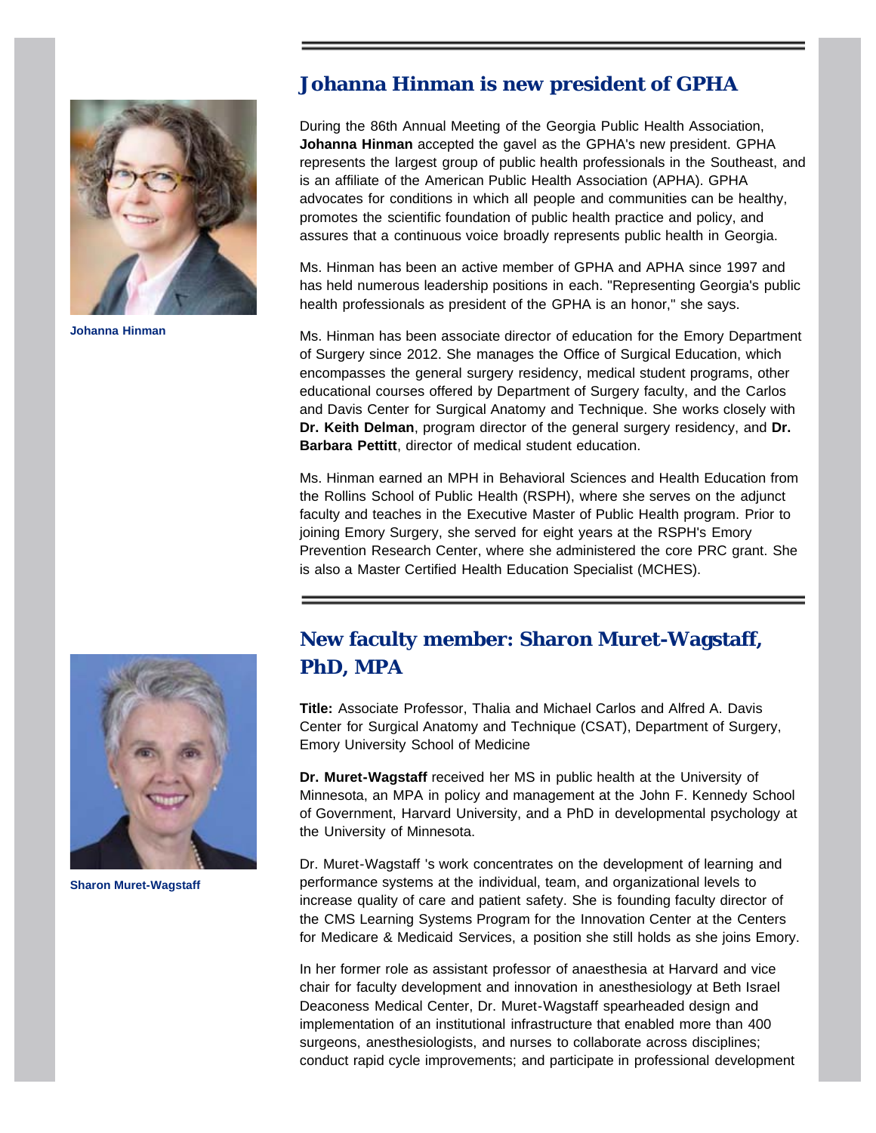<span id="page-6-0"></span>

**Johanna Hinman**

#### **Johanna Hinman is new president of GPHA**

During the 86th Annual Meeting of the Georgia Public Health Association, **Johanna Hinman** accepted the gavel as the GPHA's new president. GPHA represents the largest group of public health professionals in the Southeast, and is an affiliate of the American Public Health Association (APHA). GPHA advocates for conditions in which all people and communities can be healthy, promotes the scientific foundation of public health practice and policy, and assures that a continuous voice broadly represents public health in Georgia.

Ms. Hinman has been an active member of GPHA and APHA since 1997 and has held numerous leadership positions in each. "Representing Georgia's public health professionals as president of the GPHA is an honor," she says.

Ms. Hinman has been associate director of education for the Emory Department of Surgery since 2012. She manages the Office of Surgical Education, which encompasses the general surgery residency, medical student programs, other educational courses offered by Department of Surgery faculty, and the Carlos and Davis Center for Surgical Anatomy and Technique. She works closely with **Dr. Keith Delman**, program director of the general surgery residency, and **Dr. Barbara Pettitt**, director of medical student education.

Ms. Hinman earned an MPH in Behavioral Sciences and Health Education from the Rollins School of Public Health (RSPH), where she serves on the adjunct faculty and teaches in the Executive Master of Public Health program. Prior to joining Emory Surgery, she served for eight years at the RSPH's Emory Prevention Research Center, where she administered the core PRC grant. She is also a Master Certified Health Education Specialist (MCHES).

<span id="page-6-1"></span>

**Sharon Muret-Wagstaff**

## **New faculty member: Sharon Muret-Wagstaff, PhD, MPA**

**Title:** Associate Professor, Thalia and Michael Carlos and Alfred A. Davis Center for Surgical Anatomy and Technique (CSAT), Department of Surgery, Emory University School of Medicine

**Dr. Muret-Wagstaff** received her MS in public health at the University of Minnesota, an MPA in policy and management at the John F. Kennedy School of Government, Harvard University, and a PhD in developmental psychology at the University of Minnesota.

Dr. Muret-Wagstaff 's work concentrates on the development of learning and performance systems at the individual, team, and organizational levels to increase quality of care and patient safety. She is founding faculty director of the CMS Learning Systems Program for the Innovation Center at the Centers for Medicare & Medicaid Services, a position she still holds as she joins Emory.

In her former role as assistant professor of anaesthesia at Harvard and vice chair for faculty development and innovation in anesthesiology at Beth Israel Deaconess Medical Center, Dr. Muret-Wagstaff spearheaded design and implementation of an institutional infrastructure that enabled more than 400 surgeons, anesthesiologists, and nurses to collaborate across disciplines; conduct rapid cycle improvements; and participate in professional development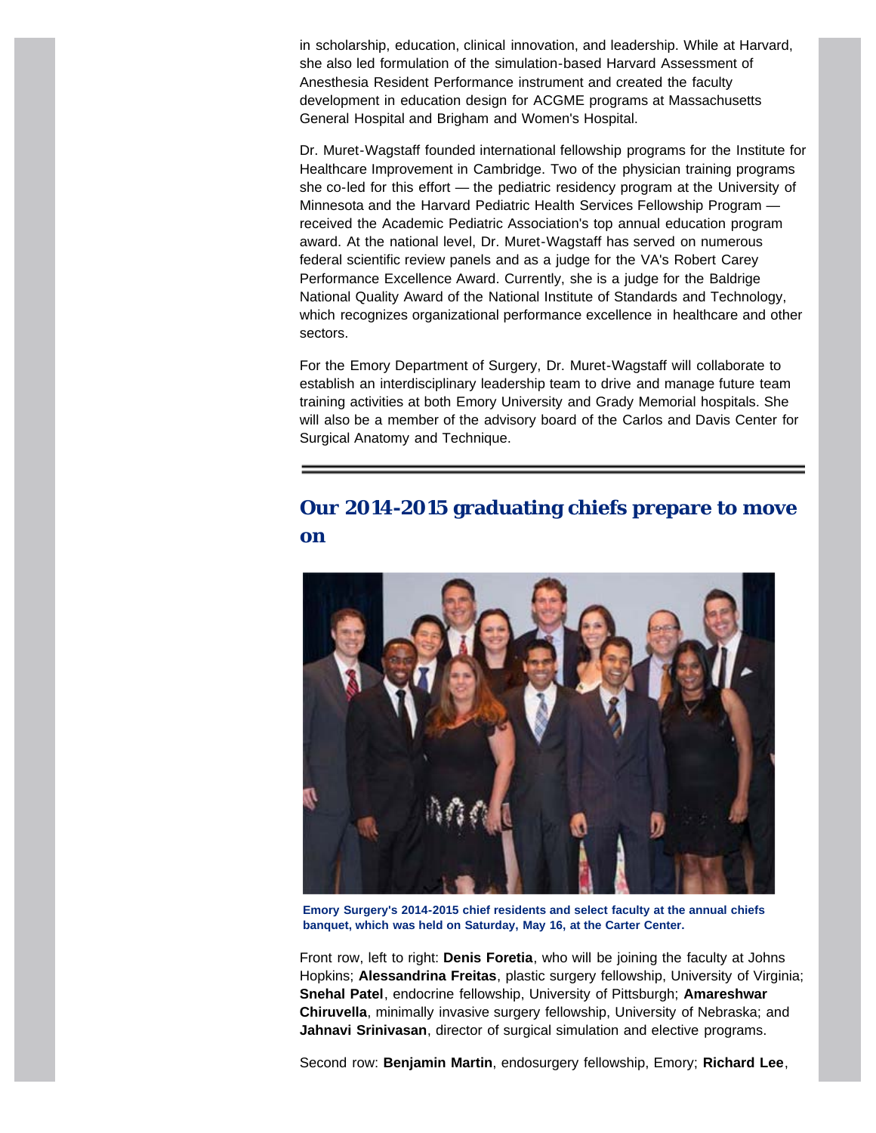in scholarship, education, clinical innovation, and leadership. While at Harvard, she also led formulation of the simulation-based Harvard Assessment of Anesthesia Resident Performance instrument and created the faculty development in education design for ACGME programs at Massachusetts General Hospital and Brigham and Women's Hospital.

Dr. Muret-Wagstaff founded international fellowship programs for the Institute for Healthcare Improvement in Cambridge. Two of the physician training programs she co-led for this effort — the pediatric residency program at the University of Minnesota and the Harvard Pediatric Health Services Fellowship Program received the Academic Pediatric Association's top annual education program award. At the national level, Dr. Muret-Wagstaff has served on numerous federal scientific review panels and as a judge for the VA's Robert Carey Performance Excellence Award. Currently, she is a judge for the Baldrige National Quality Award of the National Institute of Standards and Technology, which recognizes organizational performance excellence in healthcare and other sectors.

For the Emory Department of Surgery, Dr. Muret-Wagstaff will collaborate to establish an interdisciplinary leadership team to drive and manage future team training activities at both Emory University and Grady Memorial hospitals. She will also be a member of the advisory board of the Carlos and Davis Center for Surgical Anatomy and Technique.

#### <span id="page-7-0"></span>**Our 2014-2015 graduating chiefs prepare to move on**



**Emory Surgery's 2014-2015 chief residents and select faculty at the annual chiefs banquet, which was held on Saturday, May 16, at the Carter Center.**

Front row, left to right: **Denis Foretia**, who will be joining the faculty at Johns Hopkins; **Alessandrina Freitas**, plastic surgery fellowship, University of Virginia; **Snehal Patel**, endocrine fellowship, University of Pittsburgh; **Amareshwar Chiruvella**, minimally invasive surgery fellowship, University of Nebraska; and **Jahnavi Srinivasan**, director of surgical simulation and elective programs.

Second row: **Benjamin Martin**, endosurgery fellowship, Emory; **Richard Lee**,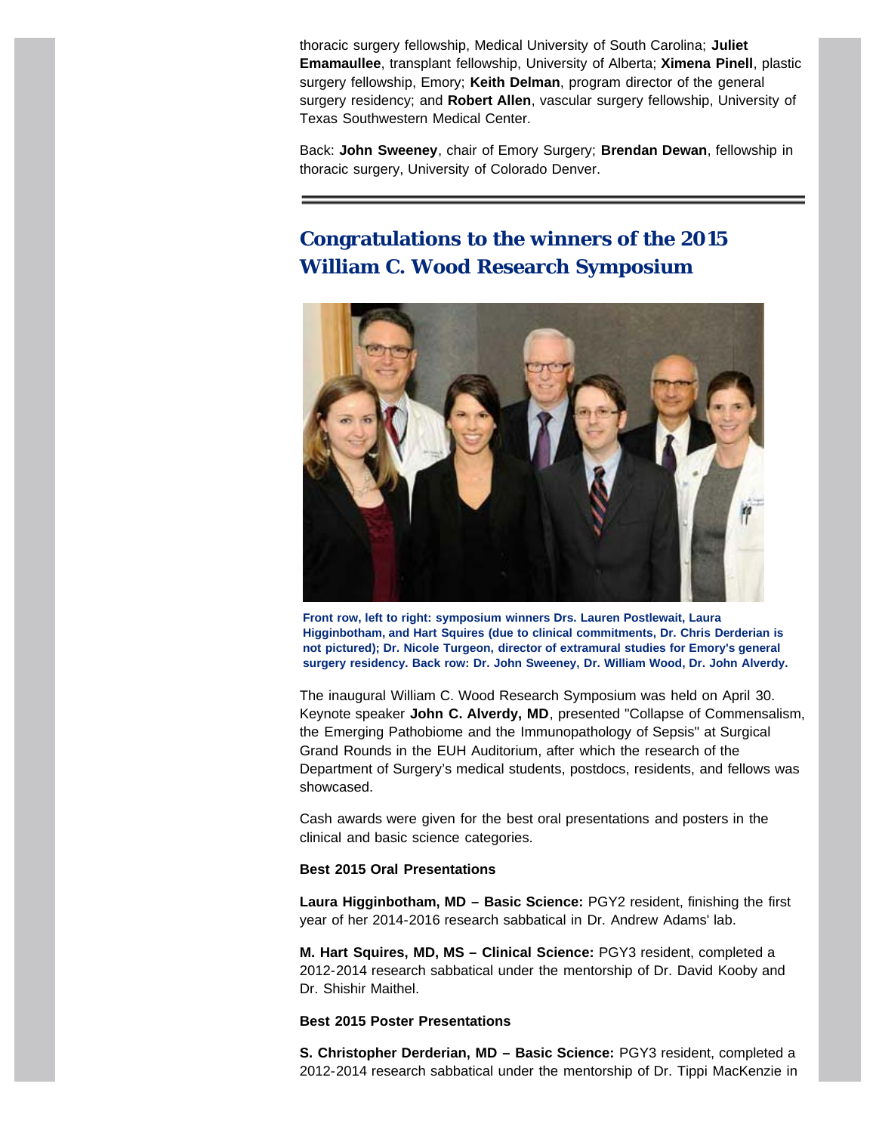thoracic surgery fellowship, Medical University of South Carolina; **Juliet Emamaullee**, transplant fellowship, University of Alberta; **Ximena Pinell**, plastic surgery fellowship, Emory; **Keith Delman**, program director of the general surgery residency; and **Robert Allen**, vascular surgery fellowship, University of Texas Southwestern Medical Center.

Back: **John Sweeney**, chair of Emory Surgery; **Brendan Dewan**, fellowship in thoracic surgery, University of Colorado Denver.

### <span id="page-8-0"></span>**Congratulations to the winners of the 2015 William C. Wood Research Symposium**



**Front row, left to right: symposium winners Drs. Lauren Postlewait, Laura Higginbotham, and Hart Squires (due to clinical commitments, Dr. Chris Derderian is not pictured); Dr. Nicole Turgeon, director of extramural studies for Emory's general surgery residency. Back row: Dr. John Sweeney, Dr. William Wood, Dr. John Alverdy.**

The inaugural William C. Wood Research Symposium was held on April 30. Keynote speaker **John C. Alverdy, MD**, presented "Collapse of Commensalism, the Emerging Pathobiome and the Immunopathology of Sepsis" at Surgical Grand Rounds in the EUH Auditorium, after which the research of the Department of Surgery's medical students, postdocs, residents, and fellows was showcased.

Cash awards were given for the best oral presentations and posters in the clinical and basic science categories.

#### **Best 2015 Oral Presentations**

**Laura Higginbotham, MD – Basic Science:** PGY2 resident, finishing the first year of her 2014-2016 research sabbatical in Dr. Andrew Adams' lab.

**M. Hart Squires, MD, MS – Clinical Science:** PGY3 resident, completed a 2012-2014 research sabbatical under the mentorship of Dr. David Kooby and Dr. Shishir Maithel.

#### **Best 2015 Poster Presentations**

**S. Christopher Derderian, MD – Basic Science:** PGY3 resident, completed a 2012-2014 research sabbatical under the mentorship of Dr. Tippi MacKenzie in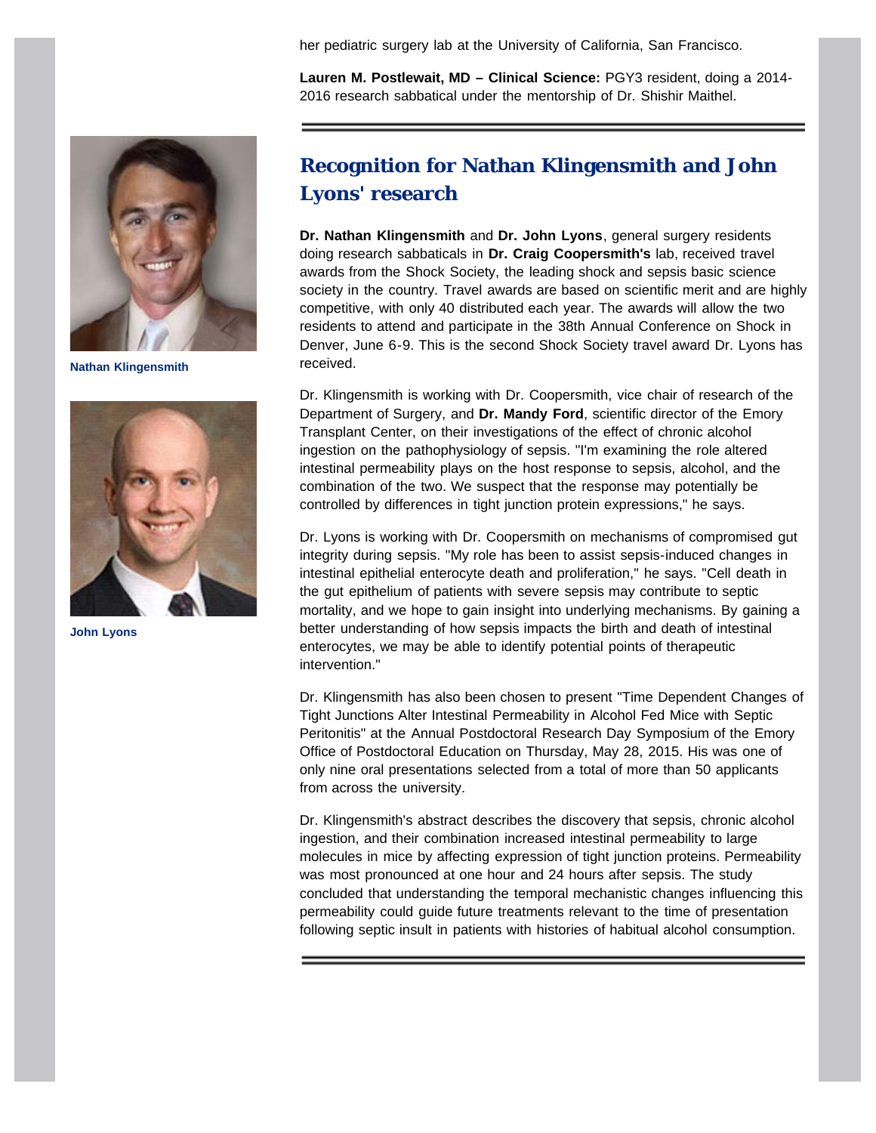her pediatric surgery lab at the University of California, San Francisco.

**Lauren M. Postlewait, MD – Clinical Science:** PGY3 resident, doing a 2014- 2016 research sabbatical under the mentorship of Dr. Shishir Maithel.

<span id="page-9-0"></span>

**Nathan Klingensmith**



**John Lyons**

#### **Recognition for Nathan Klingensmith and John Lyons' research**

**Dr. Nathan Klingensmith** and **Dr. John Lyons**, general surgery residents doing research sabbaticals in **Dr. Craig Coopersmith's** lab, received travel awards from the Shock Society, the leading shock and sepsis basic science society in the country. Travel awards are based on scientific merit and are highly competitive, with only 40 distributed each year. The awards will allow the two residents to attend and participate in the 38th Annual Conference on Shock in Denver, June 6-9. This is the second Shock Society travel award Dr. Lyons has received.

Dr. Klingensmith is working with Dr. Coopersmith, vice chair of research of the Department of Surgery, and **Dr. Mandy Ford**, scientific director of the Emory Transplant Center, on their investigations of the effect of chronic alcohol ingestion on the pathophysiology of sepsis. "I'm examining the role altered intestinal permeability plays on the host response to sepsis, alcohol, and the combination of the two. We suspect that the response may potentially be controlled by differences in tight junction protein expressions," he says.

Dr. Lyons is working with Dr. Coopersmith on mechanisms of compromised gut integrity during sepsis. "My role has been to assist sepsis-induced changes in intestinal epithelial enterocyte death and proliferation," he says. "Cell death in the gut epithelium of patients with severe sepsis may contribute to septic mortality, and we hope to gain insight into underlying mechanisms. By gaining a better understanding of how sepsis impacts the birth and death of intestinal enterocytes, we may be able to identify potential points of therapeutic intervention."

Dr. Klingensmith has also been chosen to present "Time Dependent Changes of Tight Junctions Alter Intestinal Permeability in Alcohol Fed Mice with Septic Peritonitis" at the Annual Postdoctoral Research Day Symposium of the Emory Office of Postdoctoral Education on Thursday, May 28, 2015. His was one of only nine oral presentations selected from a total of more than 50 applicants from across the university.

<span id="page-9-1"></span>Dr. Klingensmith's abstract describes the discovery that sepsis, chronic alcohol ingestion, and their combination increased intestinal permeability to large molecules in mice by affecting expression of tight junction proteins. Permeability was most pronounced at one hour and 24 hours after sepsis. The study concluded that understanding the temporal mechanistic changes influencing this permeability could guide future treatments relevant to the time of presentation following septic insult in patients with histories of habitual alcohol consumption.